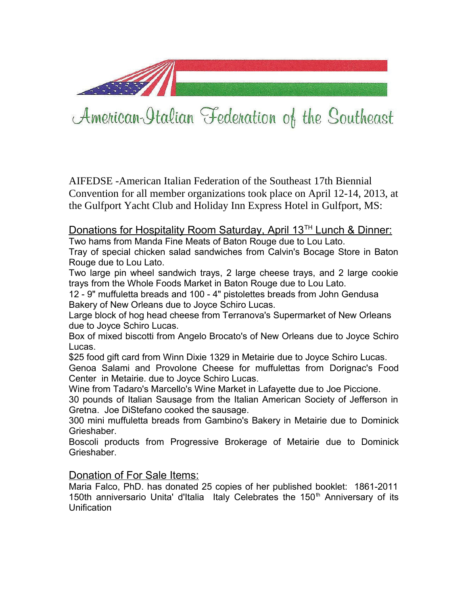

## American-Italian Federation of the Southeast

AIFEDSE -American Italian Federation of the Southeast 17th Biennial Convention for all member organizations took place on April 12-14, 2013, at the Gulfport Yacht Club and Holiday Inn Express Hotel in Gulfport, MS:

## Donations for Hospitality Room Saturday, April 13<sup>TH</sup> Lunch & Dinner:

Two hams from Manda Fine Meats of Baton Rouge due to Lou Lato. Tray of special chicken salad sandwiches from Calvin's Bocage Store in Baton Rouge due to Lou Lato.

Two large pin wheel sandwich trays, 2 large cheese trays, and 2 large cookie trays from the Whole Foods Market in Baton Rouge due to Lou Lato.

12 - 9" muffuletta breads and 100 - 4" pistolettes breads from John Gendusa Bakery of New Orleans due to Joyce Schiro Lucas.

Large block of hog head cheese from Terranova's Supermarket of New Orleans due to Joyce Schiro Lucas.

Box of mixed biscotti from Angelo Brocato's of New Orleans due to Joyce Schiro Lucas.

\$25 food gift card from Winn Dixie 1329 in Metairie due to Joyce Schiro Lucas. Genoa Salami and Provolone Cheese for muffulettas from Dorignac's Food Center in Metairie. due to Joyce Schiro Lucas.

Wine from Tadaro's Marcello's Wine Market in Lafayette due to Joe Piccione.

30 pounds of Italian Sausage from the Italian American Society of Jefferson in Gretna. Joe DiStefano cooked the sausage.

300 mini muffuletta breads from Gambino's Bakery in Metairie due to Dominick Grieshaber.

Boscoli products from Progressive Brokerage of Metairie due to Dominick Grieshaber.

## Donation of For Sale Items:

Maria Falco, PhD. has donated 25 copies of her published booklet: 1861-2011 150th anniversario Unita' d'Italia Italy Celebrates the 150<sup>th</sup> Anniversary of its Unification